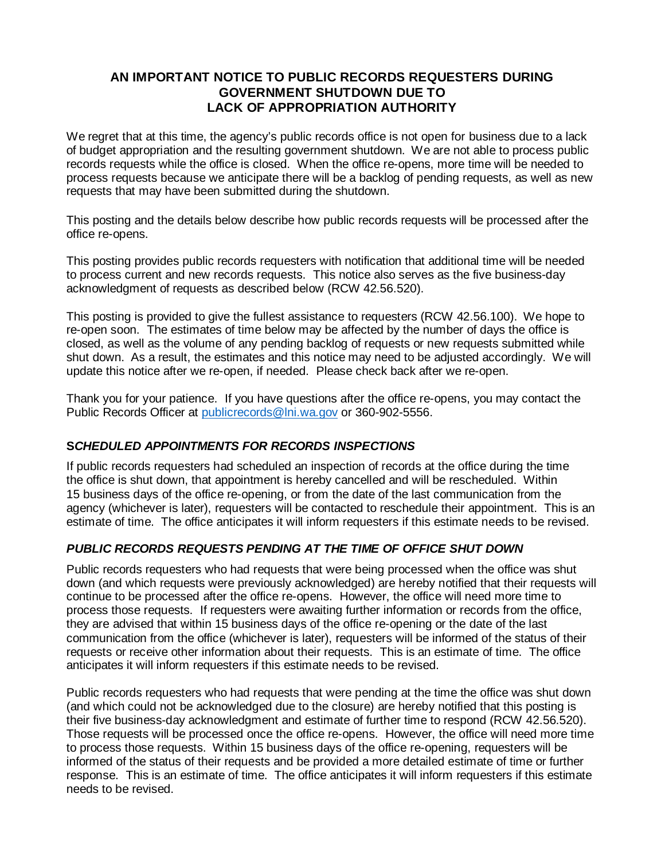## **AN IMPORTANT NOTICE TO PUBLIC RECORDS REQUESTERS DURING GOVERNMENT SHUTDOWN DUE TO LACK OF APPROPRIATION AUTHORITY**

We regret that at this time, the agency's public records office is not open for business due to a lack of budget appropriation and the resulting government shutdown. We are not able to process public records requests while the office is closed. When the office re-opens, more time will be needed to process requests because we anticipate there will be a backlog of pending requests, as well as new requests that may have been submitted during the shutdown.

This posting and the details below describe how public records requests will be processed after the office re-opens.

This posting provides public records requesters with notification that additional time will be needed to process current and new records requests. This notice also serves as the five business-day acknowledgment of requests as described below (RCW 42.56.520).

This posting is provided to give the fullest assistance to requesters (RCW 42.56.100). We hope to re-open soon. The estimates of time below may be affected by the number of days the office is closed, as well as the volume of any pending backlog of requests or new requests submitted while shut down. As a result, the estimates and this notice may need to be adjusted accordingly. We will update this notice after we re-open, if needed. Please check back after we re-open.

Thank you for your patience. If you have questions after the office re-opens, you may contact the Public Records Officer at [publicrecords@lni.wa.gov](mailto:publicrecords@lni.wa.gov) or 360-902-5556.

## **S***CHEDULED APPOINTMENTS FOR RECORDS INSPECTIONS*

If public records requesters had scheduled an inspection of records at the office during the time the office is shut down, that appointment is hereby cancelled and will be rescheduled. Within 15 business days of the office re-opening, or from the date of the last communication from the agency (whichever is later), requesters will be contacted to reschedule their appointment. This is an estimate of time. The office anticipates it will inform requesters if this estimate needs to be revised.

## *PUBLIC RECORDS REQUESTS PENDING AT THE TIME OF OFFICE SHUT DOWN*

Public records requesters who had requests that were being processed when the office was shut down (and which requests were previously acknowledged) are hereby notified that their requests will continue to be processed after the office re-opens. However, the office will need more time to process those requests. If requesters were awaiting further information or records from the office, they are advised that within 15 business days of the office re-opening or the date of the last communication from the office (whichever is later), requesters will be informed of the status of their requests or receive other information about their requests. This is an estimate of time. The office anticipates it will inform requesters if this estimate needs to be revised.

Public records requesters who had requests that were pending at the time the office was shut down (and which could not be acknowledged due to the closure) are hereby notified that this posting is their five business-day acknowledgment and estimate of further time to respond (RCW 42.56.520). Those requests will be processed once the office re-opens. However, the office will need more time to process those requests. Within 15 business days of the office re-opening, requesters will be informed of the status of their requests and be provided a more detailed estimate of time or further response. This is an estimate of time. The office anticipates it will inform requesters if this estimate needs to be revised.